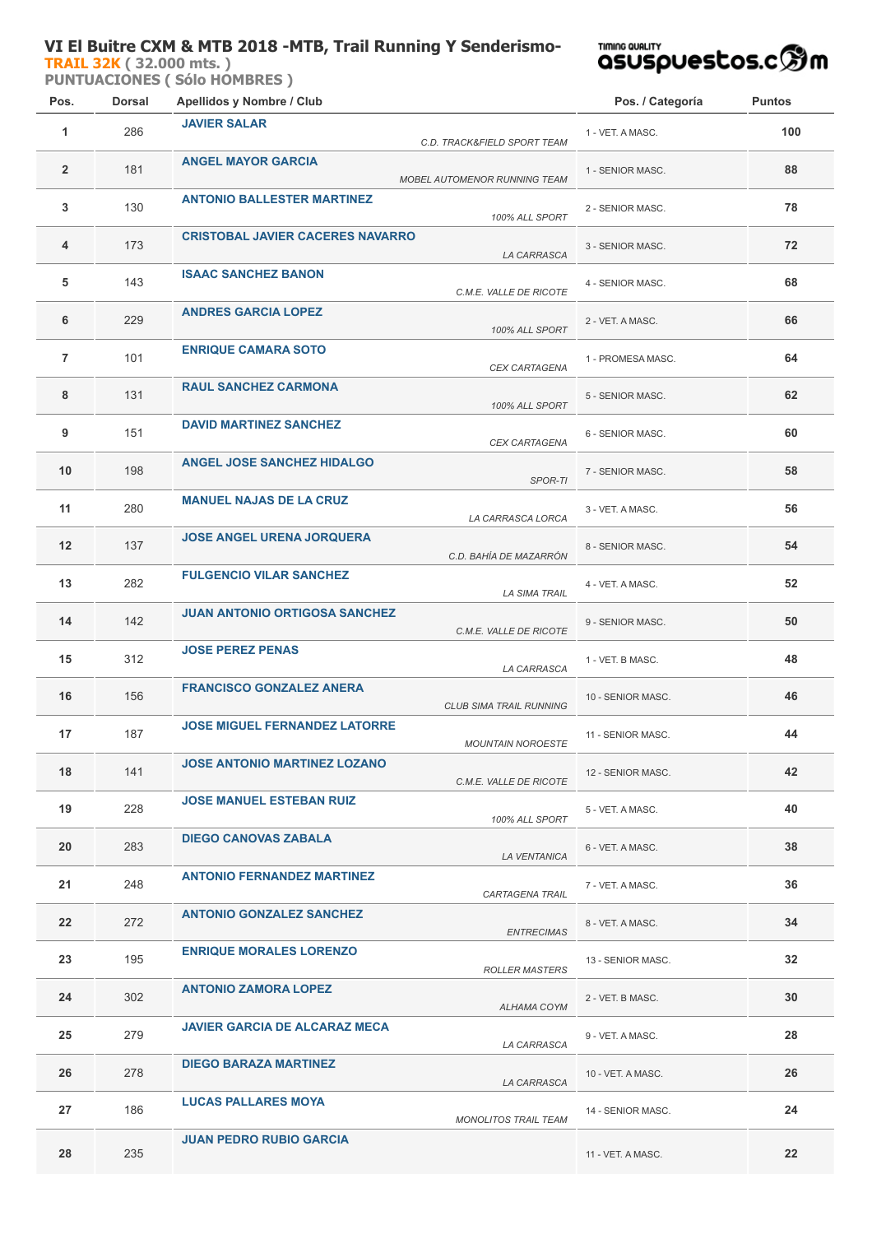## **VI El Buitre CXM & MTB 2018 -MTB, Trail Running Y Senderismo-**

**[TRAIL 32K](http://localhost/inscripcionWEBHost/prueba.php?cod=257290) ( 32.000 mts. )** 

**PUNTUACIONES ( Sólo HOMBRES )**

## **TIMING QUALITY**<br>QSUSpuestos.cஇm

| Pos.           | <b>Dorsal</b> | Apellidos y Nombre / Club                                        | Pos. / Categoría  | <b>Puntos</b> |
|----------------|---------------|------------------------------------------------------------------|-------------------|---------------|
| 1              | 286           | <b>JAVIER SALAR</b><br>C.D. TRACK&FIELD SPORT TEAM               | 1 - VET. A MASC.  | 100           |
| $\overline{2}$ | 181           | <b>ANGEL MAYOR GARCIA</b><br><b>MOBEL AUTOMENOR RUNNING TEAM</b> | 1 - SENIOR MASC.  | 88            |
| 3              | 130           | <b>ANTONIO BALLESTER MARTINEZ</b><br>100% ALL SPORT              | 2 - SENIOR MASC.  | 78            |
| 4              | 173           | <b>CRISTOBAL JAVIER CACERES NAVARRO</b><br>LA CARRASCA           | 3 - SENIOR MASC.  | 72            |
| 5              | 143           | <b>ISAAC SANCHEZ BANON</b><br>C.M.E. VALLE DE RICOTE             | 4 - SENIOR MASC.  | 68            |
| 6              | 229           | <b>ANDRES GARCIA LOPEZ</b><br>100% ALL SPORT                     | 2 - VET. A MASC.  | 66            |
| $\overline{7}$ | 101           | <b>ENRIQUE CAMARA SOTO</b><br>CEX CARTAGENA                      | 1 - PROMESA MASC. | 64            |
| 8              | 131           | <b>RAUL SANCHEZ CARMONA</b><br>100% ALL SPORT                    | 5 - SENIOR MASC.  | 62            |
| 9              | 151           | <b>DAVID MARTINEZ SANCHEZ</b><br>CEX CARTAGENA                   | 6 - SENIOR MASC.  | 60            |
| 10             | 198           | <b>ANGEL JOSE SANCHEZ HIDALGO</b><br>SPOR-TI                     | 7 - SENIOR MASC.  | 58            |
| 11             | 280           | <b>MANUEL NAJAS DE LA CRUZ</b><br>LA CARRASCA LORCA              | 3 - VET. A MASC.  | 56            |
| 12             | 137           | <b>JOSE ANGEL URENA JORQUERA</b><br>C.D. BAHÍA DE MAZARRÓN       | 8 - SENIOR MASC.  | 54            |
| 13             | 282           | <b>FULGENCIO VILAR SANCHEZ</b><br><b>LA SIMA TRAIL</b>           | 4 - VET. A MASC.  | 52            |
| 14             | 142           | <b>JUAN ANTONIO ORTIGOSA SANCHEZ</b><br>C.M.E. VALLE DE RICOTE   | 9 - SENIOR MASC.  | 50            |
| 15             | 312           | <b>JOSE PEREZ PENAS</b><br>LA CARRASCA                           | 1 - VET. B MASC.  | 48            |
| 16             | 156           | <b>FRANCISCO GONZALEZ ANERA</b><br>CLUB SIMA TRAIL RUNNING       | 10 - SENIOR MASC. | 46            |
| 17             | 187           | <b>JOSE MIGUEL FERNANDEZ LATORRE</b><br><b>MOUNTAIN NOROESTE</b> | 11 - SENIOR MASC. | 44            |
| 18             | 141           | <b>JOSE ANTONIO MARTINEZ LOZANO</b><br>C.M.E. VALLE DE RICOTE    | 12 - SENIOR MASC. | 42            |
| 19             | 228           | <b>JOSE MANUEL ESTEBAN RUIZ</b><br>100% ALL SPORT                | 5 - VET. A MASC.  | 40            |
| 20             | 283           | <b>DIEGO CANOVAS ZABALA</b><br>LA VENTANICA                      | 6 - VET. A MASC.  | 38            |
| 21             | 248           | <b>ANTONIO FERNANDEZ MARTINEZ</b><br>CARTAGENA TRAIL             | 7 - VET. A MASC.  | 36            |
| 22             | 272           | <b>ANTONIO GONZALEZ SANCHEZ</b><br><b>ENTRECIMAS</b>             | 8 - VET. A MASC.  | 34            |
| 23             | 195           | <b>ENRIQUE MORALES LORENZO</b><br><b>ROLLER MASTERS</b>          | 13 - SENIOR MASC. | 32            |
| 24             | 302           | <b>ANTONIO ZAMORA LOPEZ</b><br>ALHAMA COYM                       | 2 - VET. B MASC.  | 30            |
| 25             | 279           | <b>JAVIER GARCIA DE ALCARAZ MECA</b><br>LA CARRASCA              | 9 - VET. A MASC.  | 28            |
| 26             | 278           | <b>DIEGO BARAZA MARTINEZ</b><br>LA CARRASCA                      | 10 - VET. A MASC. | 26            |
| 27             | 186           | <b>LUCAS PALLARES MOYA</b><br><b>MONOLITOS TRAIL TEAM</b>        | 14 - SENIOR MASC. | 24            |
| 28             | 235           | <b>JUAN PEDRO RUBIO GARCIA</b>                                   | 11 - VET. A MASC. | $22 \,$       |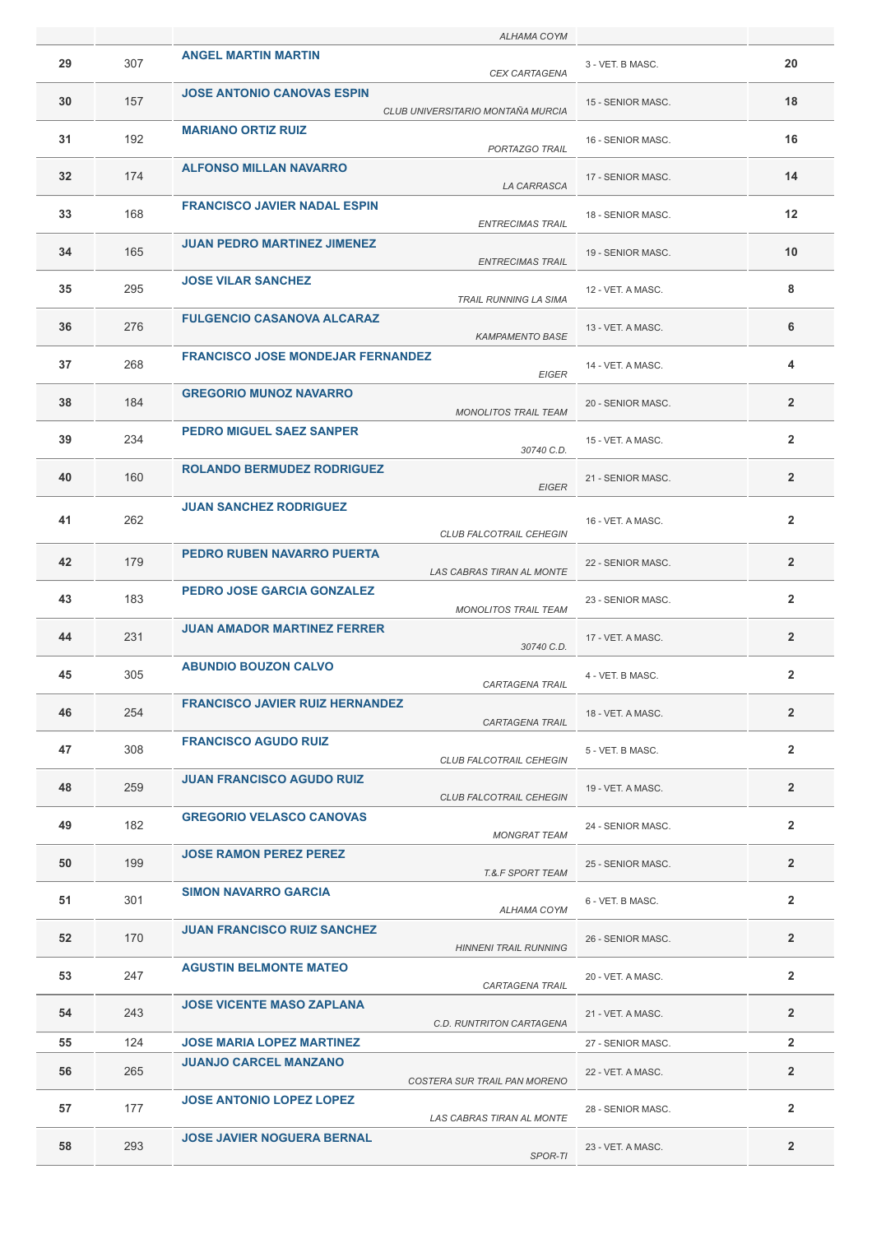|    |     | ALHAMA COYM                                                            |                   |                |
|----|-----|------------------------------------------------------------------------|-------------------|----------------|
| 29 | 307 | <b>ANGEL MARTIN MARTIN</b><br><b>CEX CARTAGENA</b>                     | 3 - VET. B MASC.  | 20             |
| 30 | 157 | <b>JOSE ANTONIO CANOVAS ESPIN</b><br>CLUB UNIVERSITARIO MONTAÑA MURCIA | 15 - SENIOR MASC. | 18             |
| 31 | 192 | <b>MARIANO ORTIZ RUIZ</b><br>PORTAZGO TRAIL                            | 16 - SENIOR MASC. | 16             |
| 32 | 174 | <b>ALFONSO MILLAN NAVARRO</b><br>LA CARRASCA                           | 17 - SENIOR MASC. | 14             |
| 33 | 168 | <b>FRANCISCO JAVIER NADAL ESPIN</b><br><b>ENTRECIMAS TRAIL</b>         | 18 - SENIOR MASC. | 12             |
| 34 | 165 | <b>JUAN PEDRO MARTINEZ JIMENEZ</b><br><b>ENTRECIMAS TRAIL</b>          | 19 - SENIOR MASC. | 10             |
| 35 | 295 | <b>JOSE VILAR SANCHEZ</b><br>TRAIL RUNNING LA SIMA                     | 12 - VET. A MASC. | 8              |
| 36 | 276 | <b>FULGENCIO CASANOVA ALCARAZ</b><br><b>KAMPAMENTO BASE</b>            | 13 - VET. A MASC. | 6              |
| 37 | 268 | <b>FRANCISCO JOSE MONDEJAR FERNANDEZ</b><br><b>EIGER</b>               | 14 - VET. A MASC. | 4              |
| 38 | 184 | <b>GREGORIO MUNOZ NAVARRO</b><br><b>MONOLITOS TRAIL TEAM</b>           | 20 - SENIOR MASC. | $\overline{2}$ |
| 39 | 234 | <b>PEDRO MIGUEL SAEZ SANPER</b><br>30740 C.D.                          | 15 - VET. A MASC. | $\overline{2}$ |
| 40 | 160 | <b>ROLANDO BERMUDEZ RODRIGUEZ</b><br><b>EIGER</b>                      | 21 - SENIOR MASC. | $\overline{2}$ |
| 41 | 262 | <b>JUAN SANCHEZ RODRIGUEZ</b>                                          | 16 - VET. A MASC. | $\overline{2}$ |
| 42 | 179 | CLUB FALCOTRAIL CEHEGIN<br>PEDRO RUBEN NAVARRO PUERTA                  | 22 - SENIOR MASC. | $\overline{2}$ |
| 43 | 183 | LAS CABRAS TIRAN AL MONTE<br><b>PEDRO JOSE GARCIA GONZALEZ</b>         | 23 - SENIOR MASC. | $\overline{2}$ |
| 44 | 231 | <b>MONOLITOS TRAIL TEAM</b><br><b>JUAN AMADOR MARTINEZ FERRER</b>      | 17 - VET. A MASC. | $\overline{2}$ |
| 45 | 305 | 30740 C.D.<br><b>ABUNDIO BOUZON CALVO</b>                              | 4 - VET. B MASC.  | $\overline{2}$ |
| 46 | 254 | CARTAGENA TRAIL<br><b>FRANCISCO JAVIER RUIZ HERNANDEZ</b>              | 18 - VET. A MASC. | $\overline{2}$ |
| 47 | 308 | <b>CARTAGENA TRAIL</b><br><b>FRANCISCO AGUDO RUIZ</b>                  | 5 - VET. B MASC.  | $\overline{2}$ |
| 48 | 259 | <b>CLUB FALCOTRAIL CEHEGIN</b><br><b>JUAN FRANCISCO AGUDO RUIZ</b>     | 19 - VET. A MASC. | $\mathbf{2}$   |
| 49 | 182 | <b>CLUB FALCOTRAIL CEHEGIN</b><br><b>GREGORIO VELASCO CANOVAS</b>      | 24 - SENIOR MASC. | $\overline{2}$ |
| 50 | 199 | <b>MONGRAT TEAM</b><br><b>JOSE RAMON PEREZ PEREZ</b>                   | 25 - SENIOR MASC. | $\overline{2}$ |
| 51 | 301 | <b>T.&amp;.F SPORT TEAM</b><br><b>SIMON NAVARRO GARCIA</b>             | 6 - VET. B MASC.  | $\overline{2}$ |
| 52 | 170 | ALHAMA COYM<br><b>JUAN FRANCISCO RUIZ SANCHEZ</b>                      | 26 - SENIOR MASC. | $\overline{2}$ |
| 53 | 247 | <b>HINNENI TRAIL RUNNING</b><br><b>AGUSTIN BELMONTE MATEO</b>          | 20 - VET. A MASC. | $\overline{2}$ |
| 54 | 243 | CARTAGENA TRAIL<br><b>JOSE VICENTE MASO ZAPLANA</b>                    | 21 - VET. A MASC. | $\overline{2}$ |
| 55 | 124 | C.D. RUNTRITON CARTAGENA<br><b>JOSE MARIA LOPEZ MARTINEZ</b>           | 27 - SENIOR MASC. | $\overline{2}$ |
|    |     | <b>JUANJO CARCEL MANZANO</b>                                           |                   |                |
| 56 | 265 | COSTERA SUR TRAIL PAN MORENO                                           | 22 - VET. A MASC. | $\overline{2}$ |
| 57 | 177 | <b>JOSE ANTONIO LOPEZ LOPEZ</b><br>LAS CABRAS TIRAN AL MONTE           | 28 - SENIOR MASC. | $\overline{2}$ |
| 58 | 293 | <b>JOSE JAVIER NOGUERA BERNAL</b><br>SPOR-TI                           | 23 - VET. A MASC. | $\overline{2}$ |